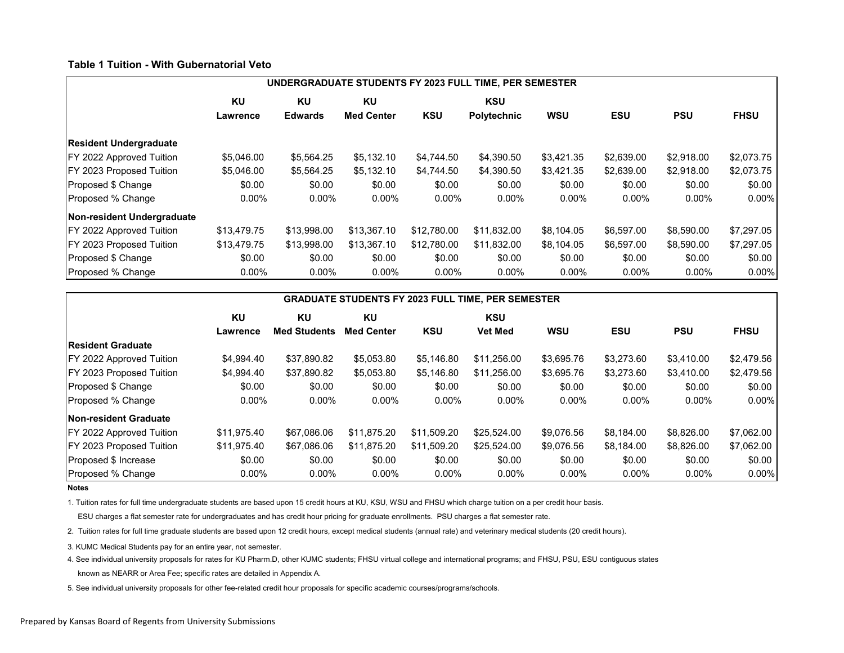## **Table 1 Tuition - With Gubernatorial Veto**

|                                  | UNDERGRADUATE STUDENTS FY 2023 FULL TIME, PER SEMESTER |                |                   |             |             |            |            |            |             |  |
|----------------------------------|--------------------------------------------------------|----------------|-------------------|-------------|-------------|------------|------------|------------|-------------|--|
|                                  | KU                                                     | KU             | KU                |             | <b>KSU</b>  |            |            |            |             |  |
|                                  | Lawrence                                               | <b>Edwards</b> | <b>Med Center</b> | <b>KSU</b>  | Polytechnic | <b>WSU</b> | <b>ESU</b> | <b>PSU</b> | <b>FHSU</b> |  |
| <b>Resident Undergraduate</b>    |                                                        |                |                   |             |             |            |            |            |             |  |
| <b>IFY 2022 Approved Tuition</b> | \$5,046,00                                             | \$5,564.25     | \$5.132.10        | \$4,744.50  | \$4,390.50  | \$3,421.35 | \$2,639.00 | \$2,918,00 | \$2,073.75  |  |
| <b>IFY 2023 Proposed Tuition</b> | \$5,046.00                                             | \$5,564.25     | \$5,132.10        | \$4,744.50  | \$4,390.50  | \$3,421.35 | \$2,639.00 | \$2,918.00 | \$2,073.75  |  |
| Proposed \$ Change               | \$0.00                                                 | \$0.00         | \$0.00            | \$0.00      | \$0.00      | \$0.00     | \$0.00     | \$0.00     | \$0.00      |  |
| Proposed % Change                | $0.00\%$                                               | $0.00\%$       | $0.00\%$          | $0.00\%$    | $0.00\%$    | $0.00\%$   | $0.00\%$   | $0.00\%$   | $0.00\%$    |  |
| Non-resident Undergraduate       |                                                        |                |                   |             |             |            |            |            |             |  |
| <b>FY 2022 Approved Tuition</b>  | \$13,479.75                                            | \$13,998.00    | \$13,367.10       | \$12,780.00 | \$11,832.00 | \$8,104.05 | \$6,597.00 | \$8,590.00 | \$7,297.05  |  |
| <b>IFY 2023 Proposed Tuition</b> | \$13,479.75                                            | \$13,998.00    | \$13,367.10       | \$12,780.00 | \$11,832.00 | \$8,104.05 | \$6,597.00 | \$8,590.00 | \$7,297.05  |  |
| Proposed \$ Change               | \$0.00                                                 | \$0.00         | \$0.00            | \$0.00      | \$0.00      | \$0.00     | \$0.00     | \$0.00     | \$0.00      |  |
| Proposed % Change                | $0.00\%$                                               | $0.00\%$       | $0.00\%$          | $0.00\%$    | $0.00\%$    | $0.00\%$   | $0.00\%$   | $0.00\%$   | $0.00\%$    |  |

| <b>GRADUATE STUDENTS FY 2023 FULL TIME, PER SEMESTER</b> |             |                     |                   |             |                |            |            |            |             |
|----------------------------------------------------------|-------------|---------------------|-------------------|-------------|----------------|------------|------------|------------|-------------|
|                                                          | KU          | KU                  | ΚU                |             | <b>KSU</b>     |            |            |            |             |
|                                                          | Lawrence    | <b>Med Students</b> | <b>Med Center</b> | <b>KSU</b>  | <b>Vet Med</b> | <b>WSU</b> | ESU        | <b>PSU</b> | <b>FHSU</b> |
| <b>Resident Graduate</b>                                 |             |                     |                   |             |                |            |            |            |             |
| <b>IFY 2022 Approved Tuition</b>                         | \$4,994.40  | \$37,890.82         | \$5,053.80        | \$5,146.80  | \$11,256.00    | \$3,695.76 | \$3,273.60 | \$3,410.00 | \$2,479.56  |
| <b>IFY 2023 Proposed Tuition</b>                         | \$4,994.40  | \$37,890.82         | \$5,053.80        | \$5,146.80  | \$11,256.00    | \$3,695.76 | \$3,273.60 | \$3,410.00 | \$2,479.56  |
| Proposed \$ Change                                       | \$0.00      | \$0.00              | \$0.00            | \$0.00      | \$0.00         | \$0.00     | \$0.00     | \$0.00     | \$0.00      |
| Proposed % Change                                        | $0.00\%$    | $0.00\%$            | $0.00\%$          | $0.00\%$    | $0.00\%$       | $0.00\%$   | $0.00\%$   | $0.00\%$   | $0.00\%$    |
| <b>Non-resident Graduate</b>                             |             |                     |                   |             |                |            |            |            |             |
| <b>IFY 2022 Approved Tuition</b>                         | \$11,975.40 | \$67,086.06         | \$11,875.20       | \$11,509.20 | \$25,524.00    | \$9,076.56 | \$8,184.00 | \$8,826.00 | \$7,062.00  |
| FY 2023 Proposed Tuition                                 | \$11,975.40 | \$67,086.06         | \$11,875.20       | \$11,509.20 | \$25,524.00    | \$9,076.56 | \$8,184.00 | \$8,826.00 | \$7,062.00  |
| Proposed \$ Increase                                     | \$0.00      | \$0.00              | \$0.00            | \$0.00      | \$0.00         | \$0.00     | \$0.00     | \$0.00     | \$0.00      |
| Proposed % Change                                        | $0.00\%$    | $0.00\%$            | $0.00\%$          | $0.00\%$    | $0.00\%$       | $0.00\%$   | $0.00\%$   | $0.00\%$   | $0.00\%$    |

**Notes**

1. Tuition rates for full time undergraduate students are based upon 15 credit hours at KU, KSU, WSU and FHSU which charge tuition on a per credit hour basis.

ESU charges a flat semester rate for undergraduates and has credit hour pricing for graduate enrollments. PSU charges a flat semester rate.

2. Tuition rates for full time graduate students are based upon 12 credit hours, except medical students (annual rate) and veterinary medical students (20 credit hours).

3. KUMC Medical Students pay for an entire year, not semester.

4. See individual university proposals for rates for KU Pharm.D, other KUMC students; FHSU virtual college and international programs; and FHSU, PSU, ESU contiguous states

known as NEARR or Area Fee; specific rates are detailed in Appendix A.

5. See individual university proposals for other fee-related credit hour proposals for specific academic courses/programs/schools.